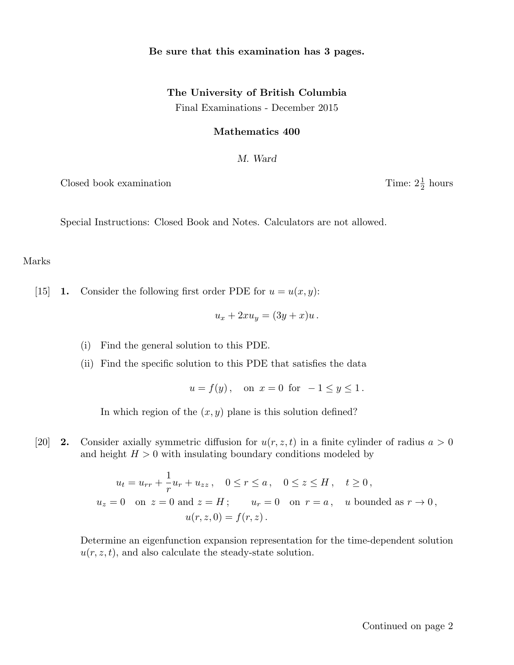### Be sure that this examination has 3 pages.

# The University of British Columbia Final Examinations - December 2015

#### Mathematics 400

M. Ward

Closed book examination

 $rac{1}{2}$  hours

Special Instructions: Closed Book and Notes. Calculators are not allowed.

#### Marks

[15] **1.** Consider the following first order PDE for  $u = u(x, y)$ :

$$
u_x + 2xu_y = (3y + x)u.
$$

(i) Find the general solution to this PDE.

(ii) Find the specific solution to this PDE that satisfies the data

 $u = f(y)$ , on  $x = 0$  for  $-1 \le y \le 1$ .

In which region of the  $(x, y)$  plane is this solution defined?

[20] **2.** Consider axially symmetric diffusion for  $u(r, z, t)$  in a finite cylinder of radius  $a > 0$ and height  $H > 0$  with insulating boundary conditions modeled by

> $u_t = u_{rr} +$ 1  $\frac{1}{r}u_r + u_{zz}$ ,  $0 \le r \le a$ ,  $0 \le z \le H$ ,  $t \ge 0$ ,  $u_z = 0$  on  $z = 0$  and  $z = H$ ;  $u_r = 0$  on  $r = a$ , u bounded as  $r \to 0$ ,  $u(r, z, 0) = f(r, z)$ .

Determine an eigenfunction expansion representation for the time-dependent solution  $u(r, z, t)$ , and also calculate the steady-state solution.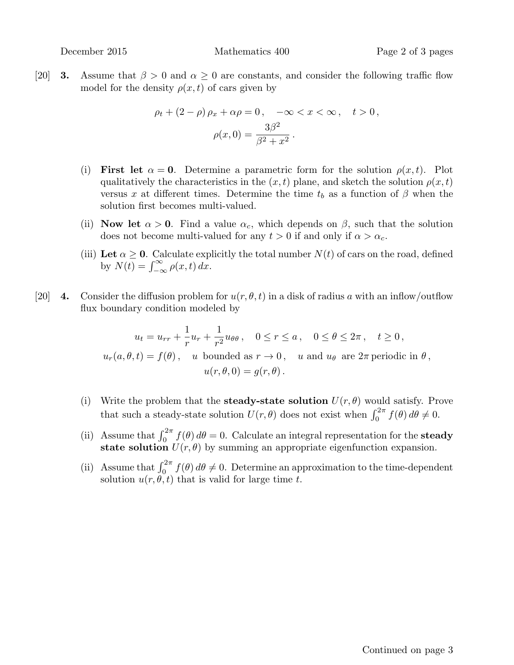[20] **3.** Assume that  $\beta > 0$  and  $\alpha \geq 0$  are constants, and consider the following traffic flow model for the density  $\rho(x, t)$  of cars given by

$$
\rho_t + (2 - \rho) \rho_x + \alpha \rho = 0, \quad -\infty < x < \infty, \quad t > 0,
$$
\n
$$
\rho(x, 0) = \frac{3\beta^2}{\beta^2 + x^2}.
$$

- (i) First let  $\alpha = 0$ . Determine a parametric form for the solution  $\rho(x, t)$ . Plot qualitatively the characteristics in the  $(x, t)$  plane, and sketch the solution  $\rho(x, t)$ versus x at different times. Determine the time  $t_b$  as a function of  $\beta$  when the solution first becomes multi-valued.
- (ii) Now let  $\alpha > 0$ . Find a value  $\alpha_c$ , which depends on  $\beta$ , such that the solution does not become multi-valued for any  $t > 0$  if and only if  $\alpha > \alpha_c$ .
- (iii) Let  $\alpha > 0$ . Calculate explicitly the total number  $N(t)$  of cars on the road, defined by  $N(t) = \int_{-\infty}^{\infty} \rho(x, t) dx$ .
- [20] 4. Consider the diffusion problem for  $u(r, \theta, t)$  in a disk of radius a with an inflow/outflow flux boundary condition modeled by

$$
u_t = u_{rr} + \frac{1}{r}u_r + \frac{1}{r^2}u_{\theta\theta}, \quad 0 \le r \le a, \quad 0 \le \theta \le 2\pi, \quad t \ge 0,
$$
  

$$
u_r(a,\theta,t) = f(\theta), \quad u \text{ bounded as } r \to 0, \quad u \text{ and } u_\theta \text{ are } 2\pi \text{ periodic in } \theta,
$$
  

$$
u(r,\theta,0) = g(r,\theta).
$$

- (i) Write the problem that the **steady-state solution**  $U(r, \theta)$  would satisfy. Prove that such a steady-state solution  $U(r, \theta)$  does not exist when  $\int_0^{2\pi} f(\theta) d\theta \neq 0$ .
- (ii) Assume that  $\int_0^{2\pi} f(\theta) d\theta = 0$ . Calculate an integral representation for the **steady** state solution  $U(r, \theta)$  by summing an appropriate eigenfunction expansion.
- (ii) Assume that  $\int_0^{2\pi} f(\theta) d\theta \neq 0$ . Determine an approximation to the time-dependent solution  $u(r, \theta, t)$  that is valid for large time t.